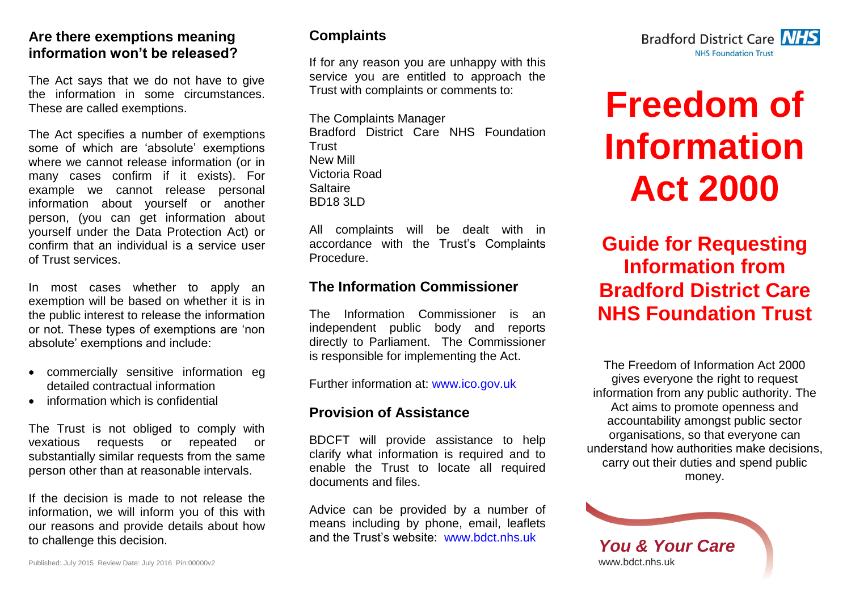#### **Are there exemptions meaning information won't be released?**

The Act says that we do not have to give the information in some circumstances. These are called exemptions.

The Act specifies a number of exemptions some of which are 'absolute' exemptions where we cannot release information (or in many cases confirm if it exists). For example we cannot release personal information about yourself or another person, (you can get information about yourself under the Data Protection Act) or confirm that an individual is a service user of Trust services.

In most cases whether to apply an exemption will be based on whether it is in the public interest to release the information or not. These types of exemptions are 'non absolute' exemptions and include:

- commercially sensitive information eg detailed contractual information
- information which is confidential

The Trust is not obliged to comply with vexatious requests or repeated or substantially similar requests from the same person other than at reasonable intervals.

If the decision is made to not release the information, we will inform you of this with our reasons and provide details about how to challenge this decision.

#### **Complaints**

If for any reason you are unhappy with this service you are entitled to approach the Trust with complaints or comments to:

The Complaints Manager Bradford District Care NHS Foundation Trust New Mill Victoria Road Saltaire BD18 3LD

All complaints will be dealt with in accordance with the Trust's Complaints Procedure.

#### **The Information Commissioner**

The Information Commissioner is an independent public body and reports directly to Parliament. The Commissioner is responsible for implementing the Act.

Further information at: [www.ico.gov.uk](http://www.ico.gov.uk/)

#### **Provision of Assistance**

BDCFT will provide assistance to help clarify what information is required and to enable the Trust to locate all required documents and files.

Advice can be provided by a number of means including by phone, email, leaflets and the Trust's website: [www.bdct.nhs.uk](http://intranet/trust/policies-and-publications/information%20governance/documents/www.bdct.nhs.uk)



# **Freedom of Information Act 2000**

**Guide for Requesting Information from Bradford District Care NHS Foundation Trust**

The Freedom of Information Act 2000 gives everyone the right to request information from any public authority. The Act aims to promote openness and accountability amongst public sector organisations, so that everyone can understand how authorities make decisions, carry out their duties and spend public money.